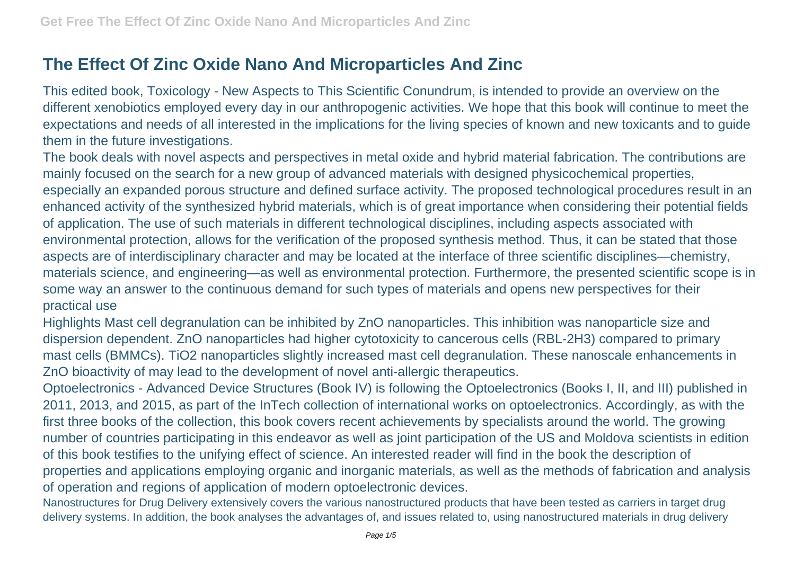## **The Effect Of Zinc Oxide Nano And Microparticles And Zinc**

This edited book, Toxicology - New Aspects to This Scientific Conundrum, is intended to provide an overview on the different xenobiotics employed every day in our anthropogenic activities. We hope that this book will continue to meet the expectations and needs of all interested in the implications for the living species of known and new toxicants and to guide them in the future investigations.

The book deals with novel aspects and perspectives in metal oxide and hybrid material fabrication. The contributions are mainly focused on the search for a new group of advanced materials with designed physicochemical properties, especially an expanded porous structure and defined surface activity. The proposed technological procedures result in an enhanced activity of the synthesized hybrid materials, which is of great importance when considering their potential fields of application. The use of such materials in different technological disciplines, including aspects associated with environmental protection, allows for the verification of the proposed synthesis method. Thus, it can be stated that those aspects are of interdisciplinary character and may be located at the interface of three scientific disciplines—chemistry, materials science, and engineering—as well as environmental protection. Furthermore, the presented scientific scope is in some way an answer to the continuous demand for such types of materials and opens new perspectives for their practical use

Highlights Mast cell degranulation can be inhibited by ZnO nanoparticles. This inhibition was nanoparticle size and dispersion dependent. ZnO nanoparticles had higher cytotoxicity to cancerous cells (RBL-2H3) compared to primary mast cells (BMMCs). TiO2 nanoparticles slightly increased mast cell degranulation. These nanoscale enhancements in ZnO bioactivity of may lead to the development of novel anti-allergic therapeutics.

Optoelectronics - Advanced Device Structures (Book IV) is following the Optoelectronics (Books I, II, and III) published in 2011, 2013, and 2015, as part of the InTech collection of international works on optoelectronics. Accordingly, as with the first three books of the collection, this book covers recent achievements by specialists around the world. The growing number of countries participating in this endeavor as well as joint participation of the US and Moldova scientists in edition of this book testifies to the unifying effect of science. An interested reader will find in the book the description of properties and applications employing organic and inorganic materials, as well as the methods of fabrication and analysis of operation and regions of application of modern optoelectronic devices.

Nanostructures for Drug Delivery extensively covers the various nanostructured products that have been tested as carriers in target drug delivery systems. In addition, the book analyses the advantages of, and issues related to, using nanostructured materials in drug delivery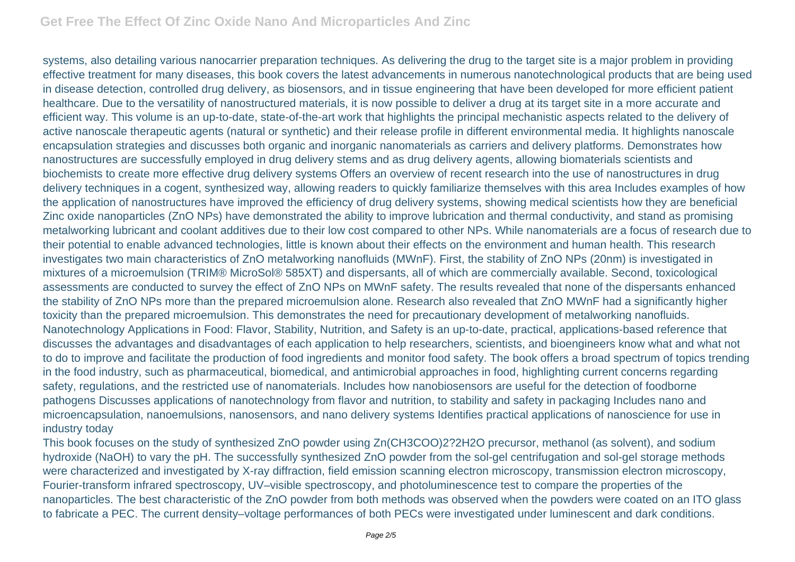systems, also detailing various nanocarrier preparation techniques. As delivering the drug to the target site is a major problem in providing effective treatment for many diseases, this book covers the latest advancements in numerous nanotechnological products that are being used in disease detection, controlled drug delivery, as biosensors, and in tissue engineering that have been developed for more efficient patient healthcare. Due to the versatility of nanostructured materials, it is now possible to deliver a drug at its target site in a more accurate and efficient way. This volume is an up-to-date, state-of-the-art work that highlights the principal mechanistic aspects related to the delivery of active nanoscale therapeutic agents (natural or synthetic) and their release profile in different environmental media. It highlights nanoscale encapsulation strategies and discusses both organic and inorganic nanomaterials as carriers and delivery platforms. Demonstrates how nanostructures are successfully employed in drug delivery stems and as drug delivery agents, allowing biomaterials scientists and biochemists to create more effective drug delivery systems Offers an overview of recent research into the use of nanostructures in drug delivery techniques in a cogent, synthesized way, allowing readers to quickly familiarize themselves with this area Includes examples of how the application of nanostructures have improved the efficiency of drug delivery systems, showing medical scientists how they are beneficial Zinc oxide nanoparticles (ZnO NPs) have demonstrated the ability to improve lubrication and thermal conductivity, and stand as promising metalworking lubricant and coolant additives due to their low cost compared to other NPs. While nanomaterials are a focus of research due to their potential to enable advanced technologies, little is known about their effects on the environment and human health. This research investigates two main characteristics of ZnO metalworking nanofluids (MWnF). First, the stability of ZnO NPs (20nm) is investigated in mixtures of a microemulsion (TRIM® MicroSol® 585XT) and dispersants, all of which are commercially available. Second, toxicological assessments are conducted to survey the effect of ZnO NPs on MWnF safety. The results revealed that none of the dispersants enhanced the stability of ZnO NPs more than the prepared microemulsion alone. Research also revealed that ZnO MWnF had a significantly higher toxicity than the prepared microemulsion. This demonstrates the need for precautionary development of metalworking nanofluids. Nanotechnology Applications in Food: Flavor, Stability, Nutrition, and Safety is an up-to-date, practical, applications-based reference that discusses the advantages and disadvantages of each application to help researchers, scientists, and bioengineers know what and what not to do to improve and facilitate the production of food ingredients and monitor food safety. The book offers a broad spectrum of topics trending in the food industry, such as pharmaceutical, biomedical, and antimicrobial approaches in food, highlighting current concerns regarding safety, regulations, and the restricted use of nanomaterials. Includes how nanobiosensors are useful for the detection of foodborne pathogens Discusses applications of nanotechnology from flavor and nutrition, to stability and safety in packaging Includes nano and microencapsulation, nanoemulsions, nanosensors, and nano delivery systems Identifies practical applications of nanoscience for use in industry today

This book focuses on the study of synthesized ZnO powder using Zn(CH3COO)2?2H2O precursor, methanol (as solvent), and sodium hydroxide (NaOH) to vary the pH. The successfully synthesized ZnO powder from the sol-gel centrifugation and sol-gel storage methods were characterized and investigated by X-ray diffraction, field emission scanning electron microscopy, transmission electron microscopy, Fourier-transform infrared spectroscopy, UV–visible spectroscopy, and photoluminescence test to compare the properties of the nanoparticles. The best characteristic of the ZnO powder from both methods was observed when the powders were coated on an ITO glass to fabricate a PEC. The current density–voltage performances of both PECs were investigated under luminescent and dark conditions.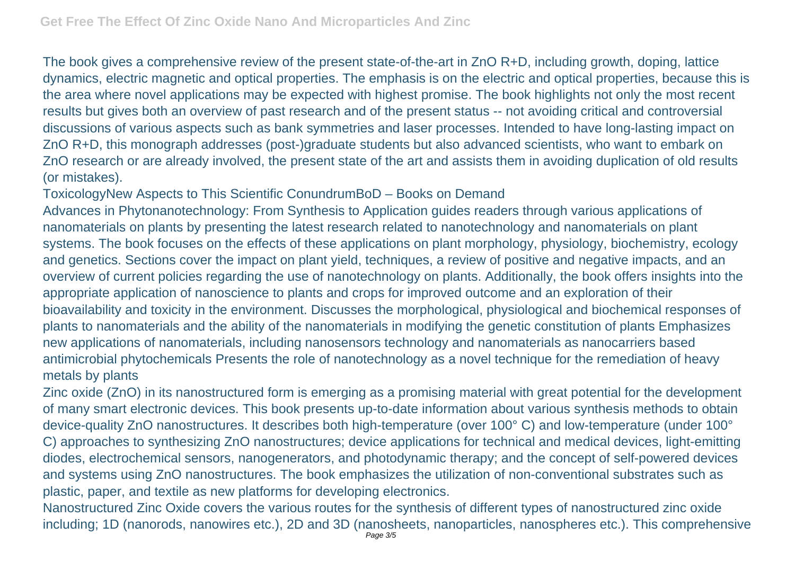The book gives a comprehensive review of the present state-of-the-art in ZnO R+D, including growth, doping, lattice dynamics, electric magnetic and optical properties. The emphasis is on the electric and optical properties, because this is the area where novel applications may be expected with highest promise. The book highlights not only the most recent results but gives both an overview of past research and of the present status -- not avoiding critical and controversial discussions of various aspects such as bank symmetries and laser processes. Intended to have long-lasting impact on ZnO R+D, this monograph addresses (post-)graduate students but also advanced scientists, who want to embark on ZnO research or are already involved, the present state of the art and assists them in avoiding duplication of old results (or mistakes).

## ToxicologyNew Aspects to This Scientific ConundrumBoD – Books on Demand

Advances in Phytonanotechnology: From Synthesis to Application guides readers through various applications of nanomaterials on plants by presenting the latest research related to nanotechnology and nanomaterials on plant systems. The book focuses on the effects of these applications on plant morphology, physiology, biochemistry, ecology and genetics. Sections cover the impact on plant yield, techniques, a review of positive and negative impacts, and an overview of current policies regarding the use of nanotechnology on plants. Additionally, the book offers insights into the appropriate application of nanoscience to plants and crops for improved outcome and an exploration of their bioavailability and toxicity in the environment. Discusses the morphological, physiological and biochemical responses of plants to nanomaterials and the ability of the nanomaterials in modifying the genetic constitution of plants Emphasizes new applications of nanomaterials, including nanosensors technology and nanomaterials as nanocarriers based antimicrobial phytochemicals Presents the role of nanotechnology as a novel technique for the remediation of heavy metals by plants

Zinc oxide (ZnO) in its nanostructured form is emerging as a promising material with great potential for the development of many smart electronic devices. This book presents up-to-date information about various synthesis methods to obtain device-quality ZnO nanostructures. It describes both high-temperature (over 100° C) and low-temperature (under 100° C) approaches to synthesizing ZnO nanostructures; device applications for technical and medical devices, light-emitting diodes, electrochemical sensors, nanogenerators, and photodynamic therapy; and the concept of self-powered devices and systems using ZnO nanostructures. The book emphasizes the utilization of non-conventional substrates such as plastic, paper, and textile as new platforms for developing electronics.

Nanostructured Zinc Oxide covers the various routes for the synthesis of different types of nanostructured zinc oxide including; 1D (nanorods, nanowires etc.), 2D and 3D (nanosheets, nanoparticles, nanospheres etc.). This comprehensive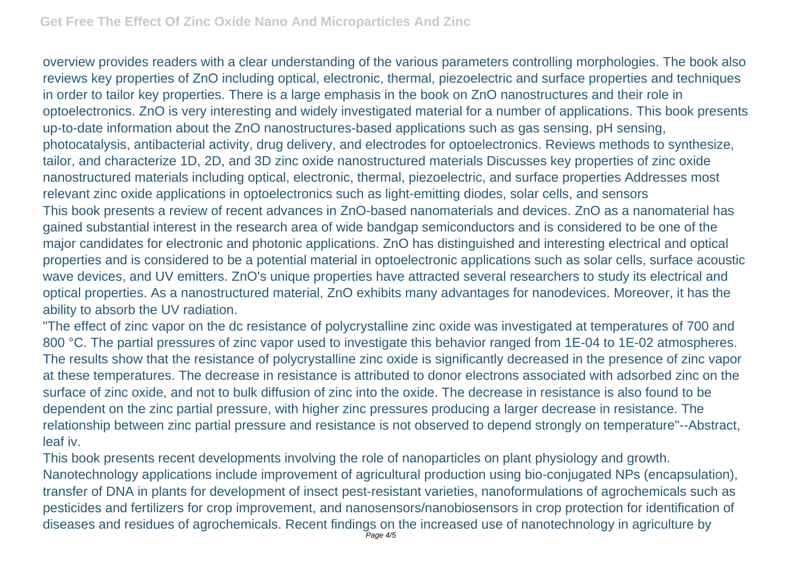overview provides readers with a clear understanding of the various parameters controlling morphologies. The book also reviews key properties of ZnO including optical, electronic, thermal, piezoelectric and surface properties and techniques in order to tailor key properties. There is a large emphasis in the book on ZnO nanostructures and their role in optoelectronics. ZnO is very interesting and widely investigated material for a number of applications. This book presents up-to-date information about the ZnO nanostructures-based applications such as gas sensing, pH sensing, photocatalysis, antibacterial activity, drug delivery, and electrodes for optoelectronics. Reviews methods to synthesize, tailor, and characterize 1D, 2D, and 3D zinc oxide nanostructured materials Discusses key properties of zinc oxide nanostructured materials including optical, electronic, thermal, piezoelectric, and surface properties Addresses most relevant zinc oxide applications in optoelectronics such as light-emitting diodes, solar cells, and sensors This book presents a review of recent advances in ZnO-based nanomaterials and devices. ZnO as a nanomaterial has gained substantial interest in the research area of wide bandgap semiconductors and is considered to be one of the major candidates for electronic and photonic applications. ZnO has distinguished and interesting electrical and optical properties and is considered to be a potential material in optoelectronic applications such as solar cells, surface acoustic wave devices, and UV emitters. ZnO's unique properties have attracted several researchers to study its electrical and optical properties. As a nanostructured material, ZnO exhibits many advantages for nanodevices. Moreover, it has the ability to absorb the UV radiation.

"The effect of zinc vapor on the dc resistance of polycrystalline zinc oxide was investigated at temperatures of 700 and 800 °C. The partial pressures of zinc vapor used to investigate this behavior ranged from 1E-04 to 1E-02 atmospheres. The results show that the resistance of polycrystalline zinc oxide is significantly decreased in the presence of zinc vapor at these temperatures. The decrease in resistance is attributed to donor electrons associated with adsorbed zinc on the surface of zinc oxide, and not to bulk diffusion of zinc into the oxide. The decrease in resistance is also found to be dependent on the zinc partial pressure, with higher zinc pressures producing a larger decrease in resistance. The relationship between zinc partial pressure and resistance is not observed to depend strongly on temperature"--Abstract, leaf iv.

This book presents recent developments involving the role of nanoparticles on plant physiology and growth. Nanotechnology applications include improvement of agricultural production using bio-conjugated NPs (encapsulation), transfer of DNA in plants for development of insect pest-resistant varieties, nanoformulations of agrochemicals such as pesticides and fertilizers for crop improvement, and nanosensors/nanobiosensors in crop protection for identification of diseases and residues of agrochemicals. Recent findings on the increased use of nanotechnology in agriculture by